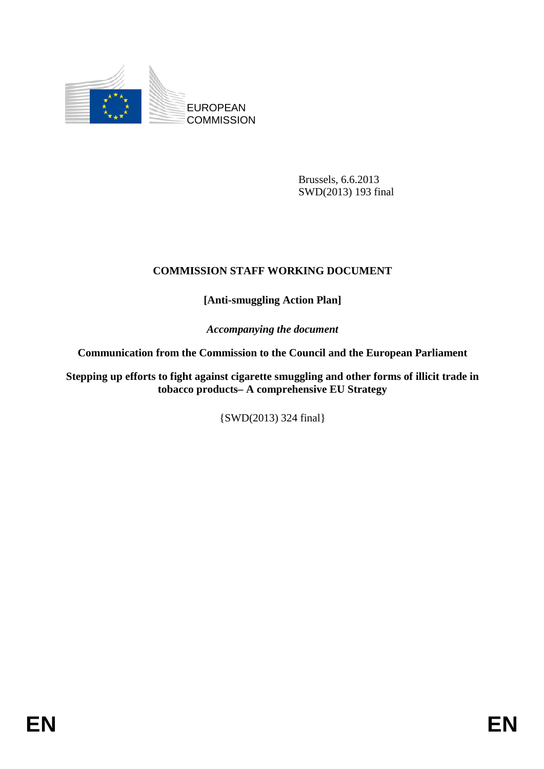

Brussels, 6.6.2013 SWD(2013) 193 final

## **COMMISSION STAFF WORKING DOCUMENT**

**[Anti-smuggling Action Plan]** 

*Accompanying the document* 

**Communication from the Commission to the Council and the European Parliament** 

**Stepping up efforts to fight against cigarette smuggling and other forms of illicit trade in tobacco products– A comprehensive EU Strategy** 

{SWD(2013) 324 final}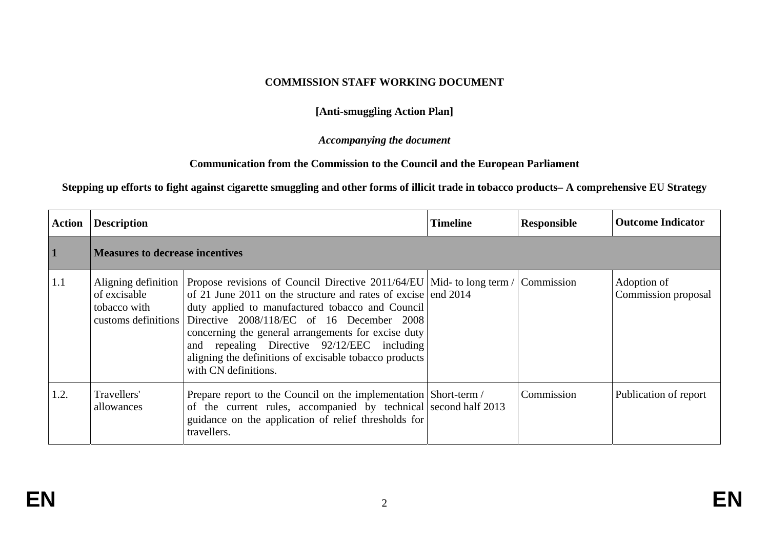## **COMMISSION STAFF WORKING DOCUMENT**

**[Anti-smuggling Action Plan]** 

*Accompanying the document* 

## **Communication from the Commission to the Council and the European Parliament**

## **Stepping up efforts to fight against cigarette smuggling and other forms of illicit trade in tobacco products– A comprehensive EU Strategy**

| <b>Action</b> | <b>Description</b>           |                                                                                                                                                                                                                                                                                                                                                                                                                                                                         | <b>Timeline</b> | <b>Responsible</b> | <b>Outcome Indicator</b>           |  |  |
|---------------|------------------------------|-------------------------------------------------------------------------------------------------------------------------------------------------------------------------------------------------------------------------------------------------------------------------------------------------------------------------------------------------------------------------------------------------------------------------------------------------------------------------|-----------------|--------------------|------------------------------------|--|--|
| $\mathbf{1}$  |                              | <b>Measures to decrease incentives</b>                                                                                                                                                                                                                                                                                                                                                                                                                                  |                 |                    |                                    |  |  |
| 1.1           | of excisable<br>tobacco with | Aligning definition Propose revisions of Council Directive 2011/64/EU Mid- to long term /<br>of 21 June 2011 on the structure and rates of excise end 2014<br>duty applied to manufactured tobacco and Council<br>customs definitions Directive 2008/118/EC of 16 December 2008<br>concerning the general arrangements for excise duty<br>and repealing Directive 92/12/EEC including<br>aligning the definitions of excisable tobacco products<br>with CN definitions. |                 | Commission         | Adoption of<br>Commission proposal |  |  |
| 1.2.          | Travellers'<br>allowances    | Prepare report to the Council on the implementation Short-term /<br>of the current rules, accompanied by technical second half 2013<br>guidance on the application of relief thresholds for<br>travellers.                                                                                                                                                                                                                                                              |                 | Commission         | Publication of report              |  |  |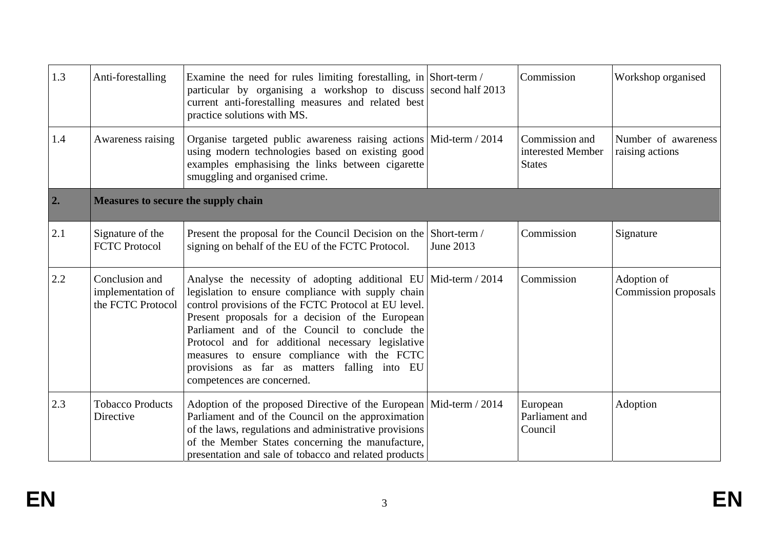| 1.3              | Anti-forestalling                                        | Examine the need for rules limiting forestalling, in Short-term /<br>particular by organising a workshop to discuss second half 2013<br>current anti-forestalling measures and related best<br>practice solutions with MS.                                                                                                                                                                                                                                             |           | Commission                                           | Workshop organised                     |
|------------------|----------------------------------------------------------|------------------------------------------------------------------------------------------------------------------------------------------------------------------------------------------------------------------------------------------------------------------------------------------------------------------------------------------------------------------------------------------------------------------------------------------------------------------------|-----------|------------------------------------------------------|----------------------------------------|
| 1.4              | Awareness raising                                        | Organise targeted public awareness raising actions Mid-term / 2014<br>using modern technologies based on existing good<br>examples emphasising the links between cigarette<br>smuggling and organised crime.                                                                                                                                                                                                                                                           |           | Commission and<br>interested Member<br><b>States</b> | Number of awareness<br>raising actions |
| $\overline{2}$ . | <b>Measures to secure the supply chain</b>               |                                                                                                                                                                                                                                                                                                                                                                                                                                                                        |           |                                                      |                                        |
| 2.1              | Signature of the<br><b>FCTC Protocol</b>                 | Present the proposal for the Council Decision on the Short-term /<br>signing on behalf of the EU of the FCTC Protocol.                                                                                                                                                                                                                                                                                                                                                 | June 2013 | Commission                                           | Signature                              |
| 2.2              | Conclusion and<br>implementation of<br>the FCTC Protocol | Analyse the necessity of adopting additional EU   Mid-term / 2014<br>legislation to ensure compliance with supply chain<br>control provisions of the FCTC Protocol at EU level.<br>Present proposals for a decision of the European<br>Parliament and of the Council to conclude the<br>Protocol and for additional necessary legislative<br>measures to ensure compliance with the FCTC<br>provisions as far as matters falling into EU<br>competences are concerned. |           | Commission                                           | Adoption of<br>Commission proposals    |
| 2.3              | <b>Tobacco Products</b><br>Directive                     | Adoption of the proposed Directive of the European   Mid-term / 2014<br>Parliament and of the Council on the approximation<br>of the laws, regulations and administrative provisions<br>of the Member States concerning the manufacture,<br>presentation and sale of tobacco and related products                                                                                                                                                                      |           | European<br>Parliament and<br>Council                | Adoption                               |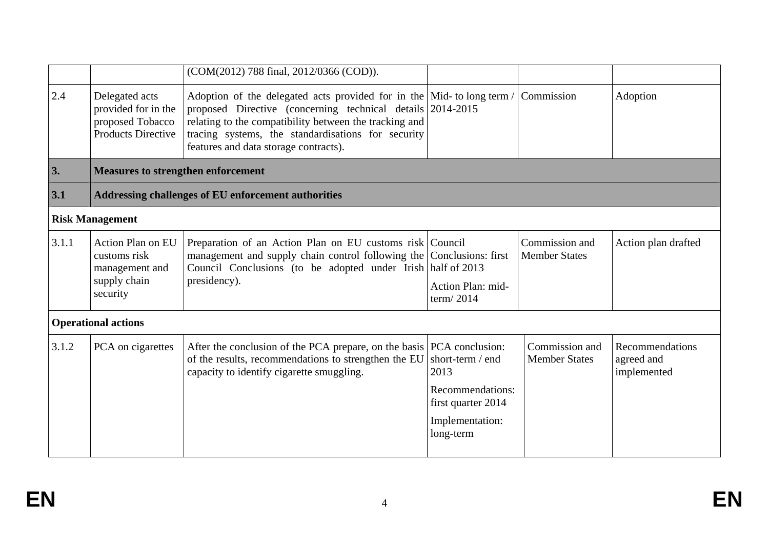|       |                                                                                        | (COM(2012) 788 final, 2012/0366 (COD)).                                                                                                                                                                                                                                                                |                                                                                                    |                                        |                                              |  |  |
|-------|----------------------------------------------------------------------------------------|--------------------------------------------------------------------------------------------------------------------------------------------------------------------------------------------------------------------------------------------------------------------------------------------------------|----------------------------------------------------------------------------------------------------|----------------------------------------|----------------------------------------------|--|--|
| 2.4   | Delegated acts<br>provided for in the<br>proposed Tobacco<br><b>Products Directive</b> | Adoption of the delegated acts provided for in the $\vert$ Mid- to long term /<br>proposed Directive (concerning technical details 2014-2015)<br>relating to the compatibility between the tracking and<br>tracing systems, the standardisations for security<br>features and data storage contracts). |                                                                                                    | Commission                             | Adoption                                     |  |  |
| 3.    | <b>Measures to strengthen enforcement</b>                                              |                                                                                                                                                                                                                                                                                                        |                                                                                                    |                                        |                                              |  |  |
| 3.1   | <b>Addressing challenges of EU enforcement authorities</b>                             |                                                                                                                                                                                                                                                                                                        |                                                                                                    |                                        |                                              |  |  |
|       | <b>Risk Management</b>                                                                 |                                                                                                                                                                                                                                                                                                        |                                                                                                    |                                        |                                              |  |  |
| 3.1.1 | Action Plan on EU<br>customs risk<br>management and<br>supply chain<br>security        | Preparation of an Action Plan on EU customs risk Council<br>management and supply chain control following the Conclusions: first<br>Council Conclusions (to be adopted under Irish half of 2013<br>presidency).                                                                                        | Action Plan: mid-<br>term/2014                                                                     | Commission and<br><b>Member States</b> | Action plan drafted                          |  |  |
|       | <b>Operational actions</b>                                                             |                                                                                                                                                                                                                                                                                                        |                                                                                                    |                                        |                                              |  |  |
| 3.1.2 | PCA on cigarettes                                                                      | After the conclusion of the PCA prepare, on the basis PCA conclusion:<br>of the results, recommendations to strengthen the EU<br>capacity to identify cigarette smuggling.                                                                                                                             | short-term / end<br>2013<br>Recommendations:<br>first quarter 2014<br>Implementation:<br>long-term | Commission and<br><b>Member States</b> | Recommendations<br>agreed and<br>implemented |  |  |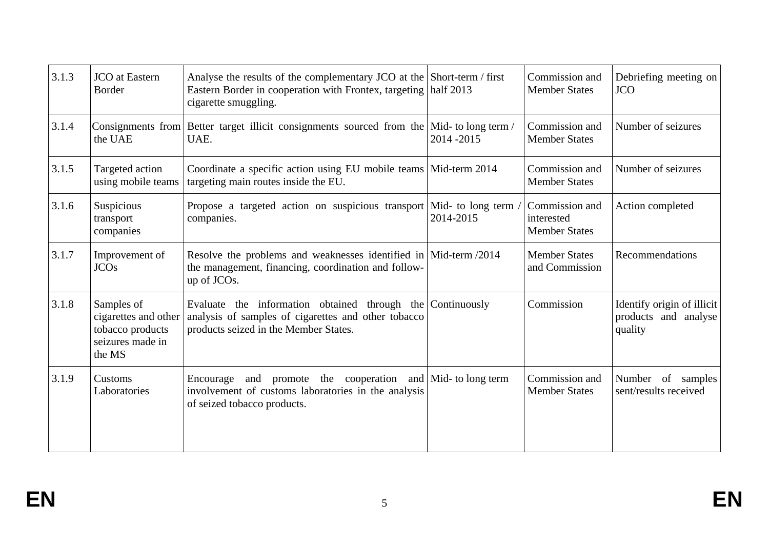| 3.1.3 | <b>JCO</b> at Eastern<br>Border                                                      | Analyse the results of the complementary JCO at the Short-term / first<br>Eastern Border in cooperation with Frontex, targeting<br>cigarette smuggling.    | half 2013                      | Commission and<br><b>Member States</b>               | Debriefing meeting on<br><b>JCO</b>                           |
|-------|--------------------------------------------------------------------------------------|------------------------------------------------------------------------------------------------------------------------------------------------------------|--------------------------------|------------------------------------------------------|---------------------------------------------------------------|
| 3.1.4 | Consignments from<br>the UAE                                                         | Better target illicit consignments sourced from the Mid- to long term /<br>UAE.                                                                            | 2014-2015                      | Commission and<br><b>Member States</b>               | Number of seizures                                            |
| 3.1.5 | Targeted action<br>using mobile teams                                                | Coordinate a specific action using EU mobile teams Mid-term 2014<br>targeting main routes inside the EU.                                                   |                                | Commission and<br><b>Member States</b>               | Number of seizures                                            |
| 3.1.6 | Suspicious<br>transport<br>companies                                                 | Propose a targeted action on suspicious transport<br>companies.                                                                                            | Mid- to long term<br>2014-2015 | Commission and<br>interested<br><b>Member States</b> | Action completed                                              |
| 3.1.7 | Improvement of<br><b>JCOs</b>                                                        | Resolve the problems and weaknesses identified in $ \text{Mid-term } / 2014 $<br>the management, financing, coordination and follow-<br>up of JCOs.        |                                | <b>Member States</b><br>and Commission               | Recommendations                                               |
| 3.1.8 | Samples of<br>cigarettes and other<br>tobacco products<br>seizures made in<br>the MS | Evaluate the information obtained through the Continuously<br>analysis of samples of cigarettes and other tobacco<br>products seized in the Member States. |                                | Commission                                           | Identify origin of illicit<br>products and analyse<br>quality |
| 3.1.9 | Customs<br>Laboratories                                                              | Encourage and promote the cooperation and Mid- to long term<br>involvement of customs laboratories in the analysis<br>of seized tobacco products.          |                                | Commission and<br><b>Member States</b>               | Number of samples<br>sent/results received                    |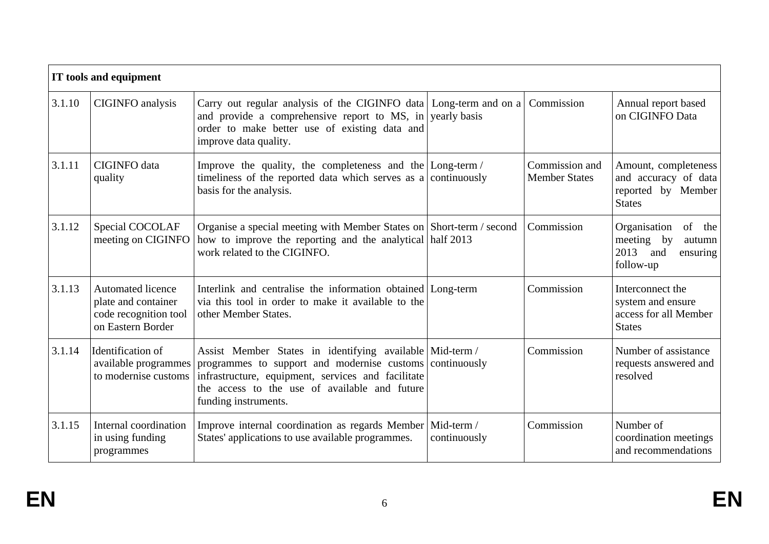|        | IT tools and equipment                                                                        |                                                                                                                                                                                                                                        |                            |                                        |                                                                                        |  |  |
|--------|-----------------------------------------------------------------------------------------------|----------------------------------------------------------------------------------------------------------------------------------------------------------------------------------------------------------------------------------------|----------------------------|----------------------------------------|----------------------------------------------------------------------------------------|--|--|
| 3.1.10 | CIGINFO analysis                                                                              | Carry out regular analysis of the CIGINFO data Long-term and on a<br>and provide a comprehensive report to MS, in yearly basis<br>order to make better use of existing data and<br>improve data quality.                               |                            | Commission                             | Annual report based<br>on CIGINFO Data                                                 |  |  |
| 3.1.11 | <b>CIGINFO</b> data<br>quality                                                                | Improve the quality, the completeness and the $\lfloor$ Long-term $\rfloor$<br>timeliness of the reported data which serves as a continuously<br>basis for the analysis.                                                               |                            | Commission and<br><b>Member States</b> | Amount, completeness<br>and accuracy of data<br>reported by Member<br><b>States</b>    |  |  |
| 3.1.12 | Special COCOLAF<br>meeting on CIGINFO                                                         | Organise a special meeting with Member States on Short-term / second<br>how to improve the reporting and the analytical half 2013<br>work related to the CIGINFO.                                                                      |                            | Commission                             | Organisation<br>of<br>the<br>meeting by<br>autumn<br>2013 and<br>ensuring<br>follow-up |  |  |
| 3.1.13 | <b>Automated licence</b><br>plate and container<br>code recognition tool<br>on Eastern Border | Interlink and centralise the information obtained Long-term<br>via this tool in order to make it available to the<br>other Member States.                                                                                              |                            | Commission                             | Interconnect the<br>system and ensure<br>access for all Member<br><b>States</b>        |  |  |
| 3.1.14 | Identification of<br>available programmes<br>to modernise customs                             | Assist Member States in identifying available Mid-term /<br>programmes to support and modernise customs<br>infrastructure, equipment, services and facilitate<br>the access to the use of available and future<br>funding instruments. | continuously               | Commission                             | Number of assistance<br>requests answered and<br>resolved                              |  |  |
| 3.1.15 | Internal coordination<br>in using funding<br>programmes                                       | Improve internal coordination as regards Member<br>States' applications to use available programmes.                                                                                                                                   | Mid-term /<br>continuously | Commission                             | Number of<br>coordination meetings<br>and recommendations                              |  |  |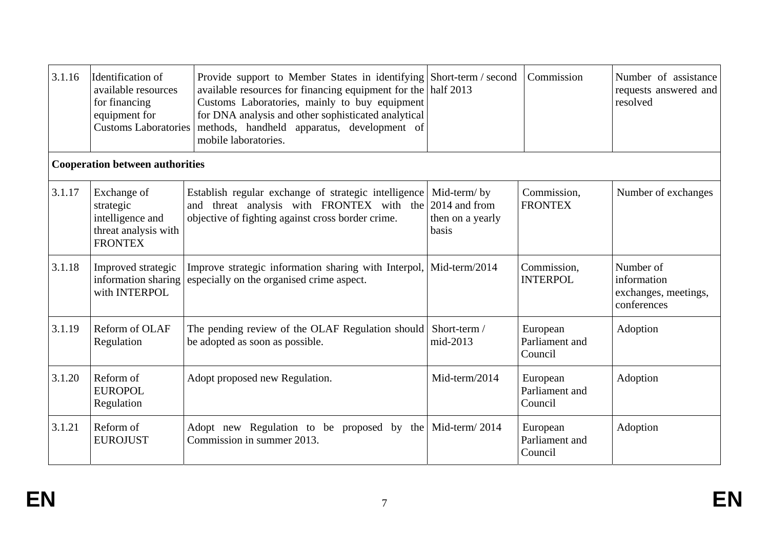| 3.1.16 | Identification of<br>available resources<br>for financing<br>equipment for<br><b>Customs Laboratories</b> | Provide support to Member States in identifying Short-term / second<br>available resources for financing equipment for the half 2013<br>Customs Laboratories, mainly to buy equipment<br>for DNA analysis and other sophisticated analytical<br>methods, handheld apparatus, development of<br>mobile laboratories. |                                                           | Commission                            | Number of assistance<br>requests answered and<br>resolved       |
|--------|-----------------------------------------------------------------------------------------------------------|---------------------------------------------------------------------------------------------------------------------------------------------------------------------------------------------------------------------------------------------------------------------------------------------------------------------|-----------------------------------------------------------|---------------------------------------|-----------------------------------------------------------------|
|        | <b>Cooperation between authorities</b>                                                                    |                                                                                                                                                                                                                                                                                                                     |                                                           |                                       |                                                                 |
| 3.1.17 | Exchange of<br>strategic<br>intelligence and<br>threat analysis with<br><b>FRONTEX</b>                    | Establish regular exchange of strategic intelligence<br>threat analysis with FRONTEX with the<br>and<br>objective of fighting against cross border crime.                                                                                                                                                           | Mid-term/by<br>2014 and from<br>then on a yearly<br>basis | Commission,<br><b>FRONTEX</b>         | Number of exchanges                                             |
| 3.1.18 | Improved strategic<br>information sharing<br>with INTERPOL                                                | Improve strategic information sharing with Interpol,<br>especially on the organised crime aspect.                                                                                                                                                                                                                   | Mid-term/2014                                             | Commission,<br><b>INTERPOL</b>        | Number of<br>information<br>exchanges, meetings,<br>conferences |
| 3.1.19 | Reform of OLAF<br>Regulation                                                                              | The pending review of the OLAF Regulation should<br>be adopted as soon as possible.                                                                                                                                                                                                                                 | Short-term /<br>mid-2013                                  | European<br>Parliament and<br>Council | Adoption                                                        |
| 3.1.20 | Reform of<br><b>EUROPOL</b><br>Regulation                                                                 | Adopt proposed new Regulation.                                                                                                                                                                                                                                                                                      | Mid-term/2014                                             | European<br>Parliament and<br>Council | Adoption                                                        |
| 3.1.21 | Reform of<br><b>EUROJUST</b>                                                                              | Adopt new Regulation to be proposed by the Mid-term/2014<br>Commission in summer 2013.                                                                                                                                                                                                                              |                                                           | European<br>Parliament and<br>Council | Adoption                                                        |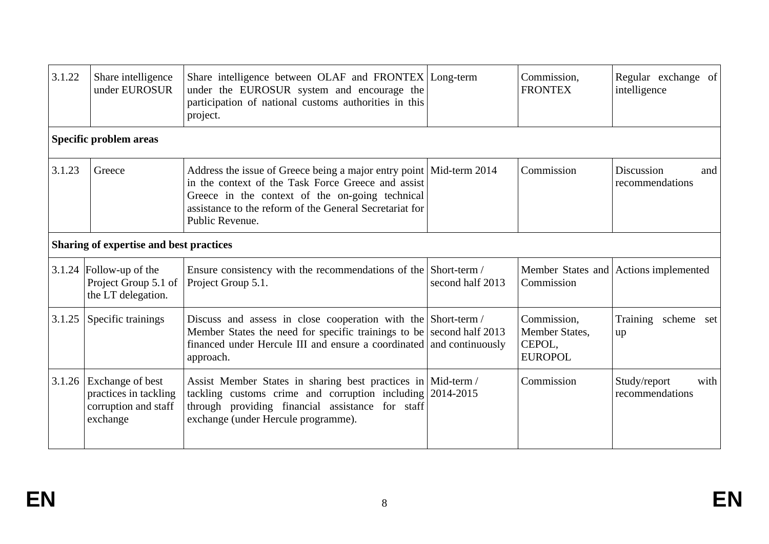| 3.1.22 | Share intelligence<br>under EUROSUR                                           | Share intelligence between OLAF and FRONTEX Long-term<br>under the EUROSUR system and encourage the<br>participation of national customs authorities in this<br>project.                                                                                     |                  | Commission,<br><b>FRONTEX</b>                             | Regular exchange of<br>intelligence     |  |  |  |
|--------|-------------------------------------------------------------------------------|--------------------------------------------------------------------------------------------------------------------------------------------------------------------------------------------------------------------------------------------------------------|------------------|-----------------------------------------------------------|-----------------------------------------|--|--|--|
|        | Specific problem areas                                                        |                                                                                                                                                                                                                                                              |                  |                                                           |                                         |  |  |  |
| 3.1.23 | Greece                                                                        | Address the issue of Greece being a major entry point   Mid-term 2014<br>in the context of the Task Force Greece and assist<br>Greece in the context of the on-going technical<br>assistance to the reform of the General Secretariat for<br>Public Revenue. |                  | Commission                                                | Discussion<br>and<br>recommendations    |  |  |  |
|        | Sharing of expertise and best practices                                       |                                                                                                                                                                                                                                                              |                  |                                                           |                                         |  |  |  |
|        | $3.1.24$ Follow-up of the<br>Project Group 5.1 of<br>the LT delegation.       | Ensure consistency with the recommendations of the Short-term /<br>Project Group 5.1.                                                                                                                                                                        | second half 2013 | Commission                                                | Member States and Actions implemented   |  |  |  |
| 3.1.25 | Specific trainings                                                            | Discuss and assess in close cooperation with the Short-term /<br>Member States the need for specific trainings to be second half $2013$<br>financed under Hercule III and ensure a coordinated and continuously<br>approach.                                 |                  | Commission,<br>Member States,<br>CEPOL,<br><b>EUROPOL</b> | Training scheme set<br>up               |  |  |  |
| 3.1.26 | Exchange of best<br>practices in tackling<br>corruption and staff<br>exchange | Assist Member States in sharing best practices in Mid-term /<br>tackling customs crime and corruption including 2014-2015<br>through providing financial assistance for staff<br>exchange (under Hercule programme).                                         |                  | Commission                                                | Study/report<br>with<br>recommendations |  |  |  |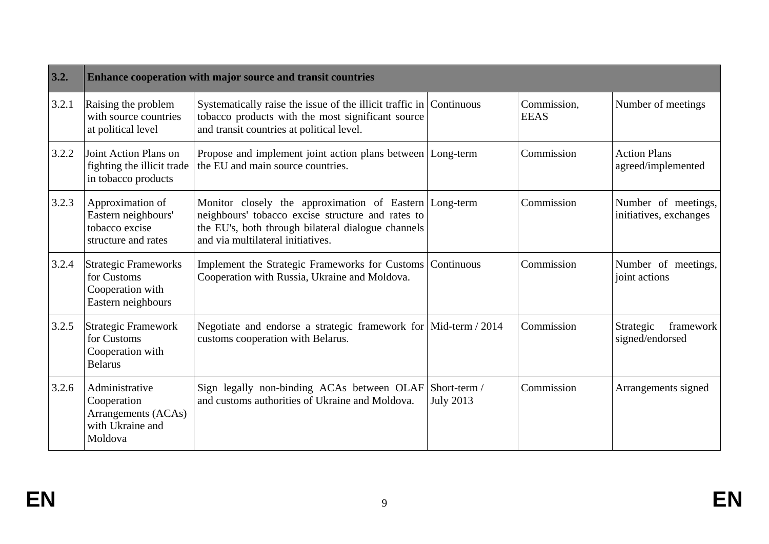| 3.2.  | Enhance cooperation with major source and transit countries                          |                                                                                                                                                                                                        |                                  |                            |                                               |  |  |
|-------|--------------------------------------------------------------------------------------|--------------------------------------------------------------------------------------------------------------------------------------------------------------------------------------------------------|----------------------------------|----------------------------|-----------------------------------------------|--|--|
| 3.2.1 | Raising the problem<br>with source countries<br>at political level                   | Systematically raise the issue of the illicit traffic in Continuous<br>tobacco products with the most significant source<br>and transit countries at political level.                                  |                                  | Commission,<br><b>EEAS</b> | Number of meetings                            |  |  |
| 3.2.2 | Joint Action Plans on<br>fighting the illicit trade<br>in tobacco products           | Propose and implement joint action plans between   Long-term<br>the EU and main source countries.                                                                                                      |                                  | Commission                 | <b>Action Plans</b><br>agreed/implemented     |  |  |
| 3.2.3 | Approximation of<br>Eastern neighbours'<br>tobacco excise<br>structure and rates     | Monitor closely the approximation of Eastern Long-term<br>neighbours' tobacco excise structure and rates to<br>the EU's, both through bilateral dialogue channels<br>and via multilateral initiatives. |                                  | Commission                 | Number of meetings,<br>initiatives, exchanges |  |  |
| 3.2.4 | <b>Strategic Frameworks</b><br>for Customs<br>Cooperation with<br>Eastern neighbours | Implement the Strategic Frameworks for Customs   Continuous<br>Cooperation with Russia, Ukraine and Moldova.                                                                                           |                                  | Commission                 | Number of meetings,<br>joint actions          |  |  |
| 3.2.5 | <b>Strategic Framework</b><br>for Customs<br>Cooperation with<br><b>Belarus</b>      | Negotiate and endorse a strategic framework for Mid-term / 2014<br>customs cooperation with Belarus.                                                                                                   |                                  | Commission                 | Strategic<br>framework<br>signed/endorsed     |  |  |
| 3.2.6 | Administrative<br>Cooperation<br>Arrangements (ACAs)<br>with Ukraine and<br>Moldova  | Sign legally non-binding ACAs between OLAF<br>and customs authorities of Ukraine and Moldova.                                                                                                          | Short-term /<br><b>July 2013</b> | Commission                 | Arrangements signed                           |  |  |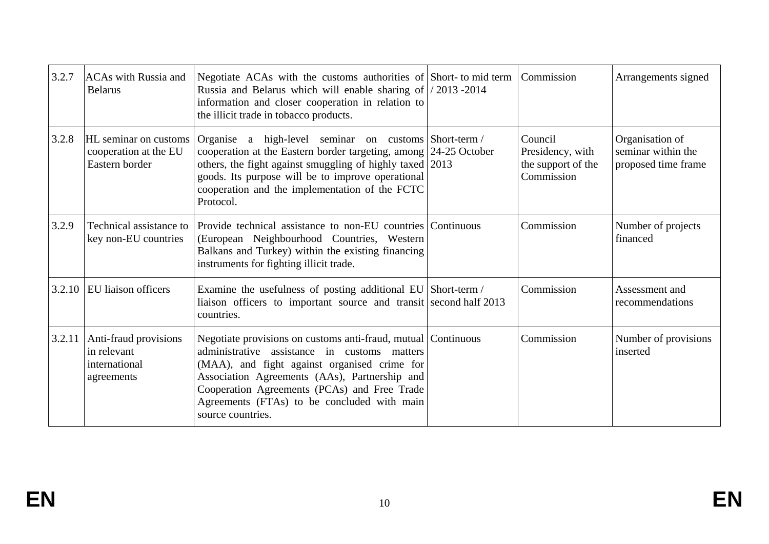| 3.2.7  | <b>ACAs</b> with Russia and<br><b>Belarus</b>                       | Negotiate ACAs with the customs authorities of Short- to mid term<br>Russia and Belarus which will enable sharing of $\frac{1}{2013}$ -2014<br>information and closer cooperation in relation to<br>the illicit trade in tobacco products.                                                                                         | Commission                                                      | Arrangements signed                                          |
|--------|---------------------------------------------------------------------|------------------------------------------------------------------------------------------------------------------------------------------------------------------------------------------------------------------------------------------------------------------------------------------------------------------------------------|-----------------------------------------------------------------|--------------------------------------------------------------|
| 3.2.8  | HL seminar on customs<br>cooperation at the EU<br>Eastern border    | Organise a high-level seminar on customs Short-term /<br>cooperation at the Eastern border targeting, among 24-25 October<br>others, the fight against smuggling of highly taxed 2013<br>goods. Its purpose will be to improve operational<br>cooperation and the implementation of the FCTC<br>Protocol.                          | Council<br>Presidency, with<br>the support of the<br>Commission | Organisation of<br>seminar within the<br>proposed time frame |
| 3.2.9  | Technical assistance to<br>key non-EU countries                     | Provide technical assistance to non-EU countries Continuous<br>(European Neighbourhood Countries, Western<br>Balkans and Turkey) within the existing financing<br>instruments for fighting illicit trade.                                                                                                                          | Commission                                                      | Number of projects<br>financed                               |
| 3.2.10 | EU liaison officers                                                 | Examine the usefulness of posting additional EU Short-term /<br>liaison officers to important source and transit second half 2013<br>countries.                                                                                                                                                                                    | Commission                                                      | Assessment and<br>recommendations                            |
| 3.2.11 | Anti-fraud provisions<br>in relevant<br>international<br>agreements | Negotiate provisions on customs anti-fraud, mutual Continuous<br>administrative assistance in customs matters<br>(MAA), and fight against organised crime for<br>Association Agreements (AAs), Partnership and<br>Cooperation Agreements (PCAs) and Free Trade<br>Agreements (FTAs) to be concluded with main<br>source countries. | Commission                                                      | Number of provisions<br>inserted                             |